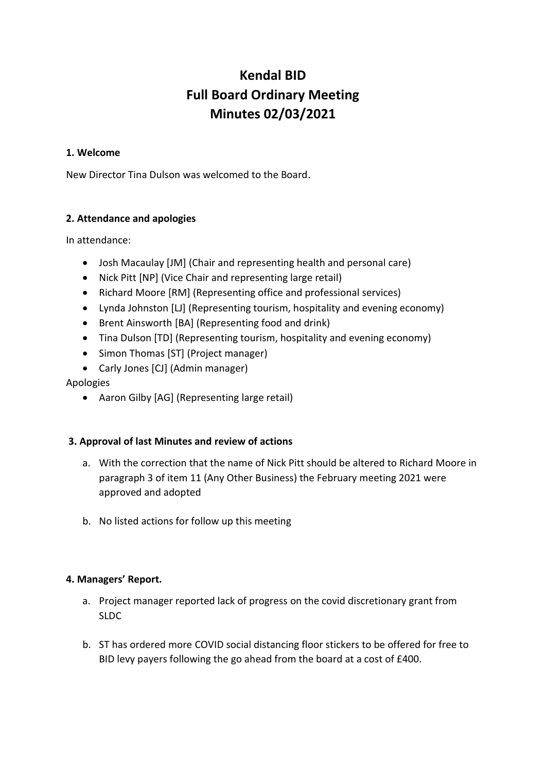# **Kendal BID Full Board Ordinary Meeting Minutes 02/03/2021**

## **1. Welcome**

New Director Tina Dulson was welcomed to the Board.

# **2. Attendance and apologies**

In attendance:

- Josh Macaulay [JM] (Chair and representing health and personal care)
- Nick Pitt [NP] (Vice Chair and representing large retail)
- Richard Moore [RM] (Representing office and professional services)
- Lynda Johnston [LJ] (Representing tourism, hospitality and evening economy)
- Brent Ainsworth [BA] (Representing food and drink)
- Tina Dulson [TD] (Representing tourism, hospitality and evening economy)
- Simon Thomas [ST] (Project manager)
- Carly Jones [CJ] (Admin manager)

Apologies

• Aaron Gilby [AG] (Representing large retail)

# **3. Approval of last Minutes and review of actions**

- a. With the correction that the name of Nick Pitt should be altered to Richard Moore in paragraph 3 of item 11 (Any Other Business) the February meeting 2021 were approved and adopted
- b. No listed actions for follow up this meeting

# **4. Managers' Report.**

- a. Project manager reported lack of progress on the covid discretionary grant from SLDC
- b. ST has ordered more COVID social distancing floor stickers to be offered for free to BID levy payers following the go ahead from the board at a cost of £400.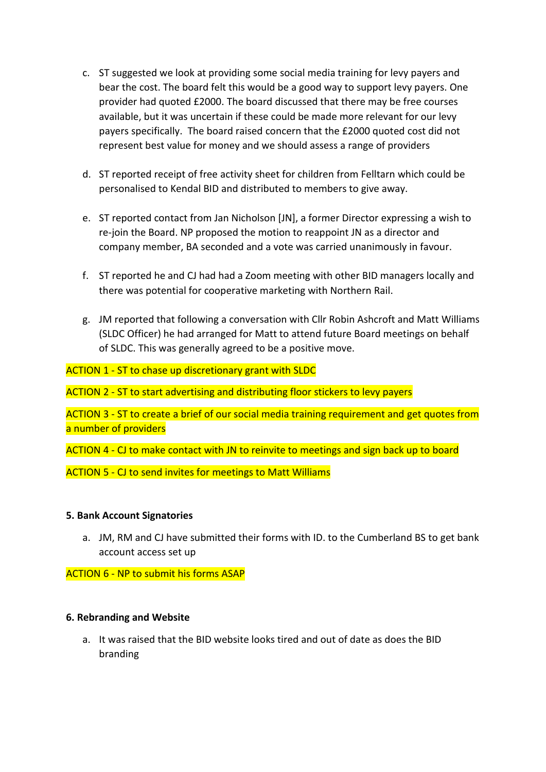- c. ST suggested we look at providing some social media training for levy payers and bear the cost. The board felt this would be a good way to support levy payers. One provider had quoted £2000. The board discussed that there may be free courses available, but it was uncertain if these could be made more relevant for our levy payers specifically. The board raised concern that the £2000 quoted cost did not represent best value for money and we should assess a range of providers
- d. ST reported receipt of free activity sheet for children from Felltarn which could be personalised to Kendal BID and distributed to members to give away.
- e. ST reported contact from Jan Nicholson [JN], a former Director expressing a wish to re-join the Board. NP proposed the motion to reappoint JN as a director and company member, BA seconded and a vote was carried unanimously in favour.
- f. ST reported he and CJ had had a Zoom meeting with other BID managers locally and there was potential for cooperative marketing with Northern Rail.
- g. JM reported that following a conversation with Cllr Robin Ashcroft and Matt Williams (SLDC Officer) he had arranged for Matt to attend future Board meetings on behalf of SLDC. This was generally agreed to be a positive move.

ACTION 1 - ST to chase up discretionary grant with SLDC

ACTION 2 - ST to start advertising and distributing floor stickers to levy payers

ACTION 3 - ST to create a brief of our social media training requirement and get quotes from a number of providers

ACTION 4 - CJ to make contact with JN to reinvite to meetings and sign back up to board

ACTION 5 - CJ to send invites for meetings to Matt Williams

#### **5. Bank Account Signatories**

a. JM, RM and CJ have submitted their forms with ID. to the Cumberland BS to get bank account access set up

ACTION 6 - NP to submit his forms ASAP

#### **6. Rebranding and Website**

a. It was raised that the BID website looks tired and out of date as does the BID branding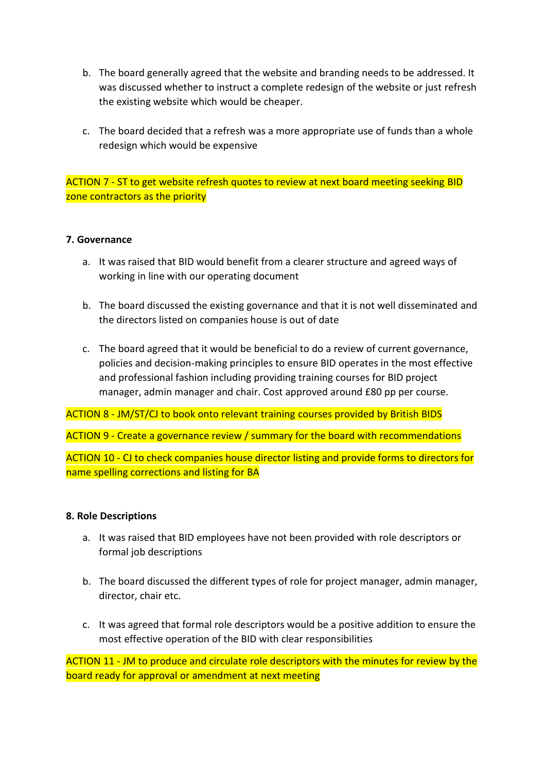- b. The board generally agreed that the website and branding needs to be addressed. It was discussed whether to instruct a complete redesign of the website or just refresh the existing website which would be cheaper.
- c. The board decided that a refresh was a more appropriate use of funds than a whole redesign which would be expensive

ACTION 7 - ST to get website refresh quotes to review at next board meeting seeking BID zone contractors as the priority

## **7. Governance**

- a. It was raised that BID would benefit from a clearer structure and agreed ways of working in line with our operating document
- b. The board discussed the existing governance and that it is not well disseminated and the directors listed on companies house is out of date
- c. The board agreed that it would be beneficial to do a review of current governance, policies and decision-making principles to ensure BID operates in the most effective and professional fashion including providing training courses for BID project manager, admin manager and chair. Cost approved around £80 pp per course.

ACTION 8 - JM/ST/CJ to book onto relevant training courses provided by British BIDS

ACTION 9 - Create a governance review / summary for the board with recommendations

ACTION 10 - CJ to check companies house director listing and provide forms to directors for name spelling corrections and listing for BA

#### **8. Role Descriptions**

- a. It was raised that BID employees have not been provided with role descriptors or formal job descriptions
- b. The board discussed the different types of role for project manager, admin manager, director, chair etc.
- c. It was agreed that formal role descriptors would be a positive addition to ensure the most effective operation of the BID with clear responsibilities

ACTION 11 - JM to produce and circulate role descriptors with the minutes for review by the board ready for approval or amendment at next meeting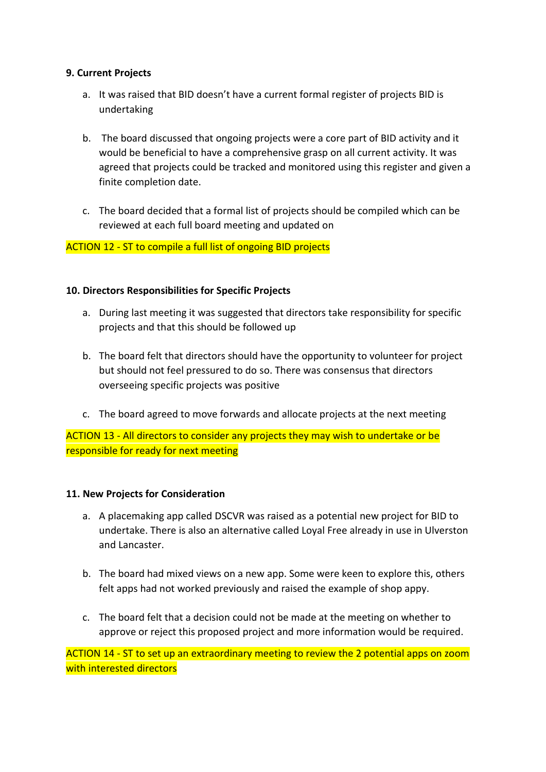# **9. Current Projects**

- a. It was raised that BID doesn't have a current formal register of projects BID is undertaking
- b. The board discussed that ongoing projects were a core part of BID activity and it would be beneficial to have a comprehensive grasp on all current activity. It was agreed that projects could be tracked and monitored using this register and given a finite completion date.
- c. The board decided that a formal list of projects should be compiled which can be reviewed at each full board meeting and updated on

# ACTION 12 - ST to compile a full list of ongoing BID projects

## **10. Directors Responsibilities for Specific Projects**

- a. During last meeting it was suggested that directors take responsibility for specific projects and that this should be followed up
- b. The board felt that directors should have the opportunity to volunteer for project but should not feel pressured to do so. There was consensus that directors overseeing specific projects was positive
- c. The board agreed to move forwards and allocate projects at the next meeting

ACTION 13 - All directors to consider any projects they may wish to undertake or be responsible for ready for next meeting

#### **11. New Projects for Consideration**

- a. A placemaking app called DSCVR was raised as a potential new project for BID to undertake. There is also an alternative called Loyal Free already in use in Ulverston and Lancaster.
- b. The board had mixed views on a new app. Some were keen to explore this, others felt apps had not worked previously and raised the example of shop appy.
- c. The board felt that a decision could not be made at the meeting on whether to approve or reject this proposed project and more information would be required.

ACTION 14 - ST to set up an extraordinary meeting to review the 2 potential apps on zoom with interested directors